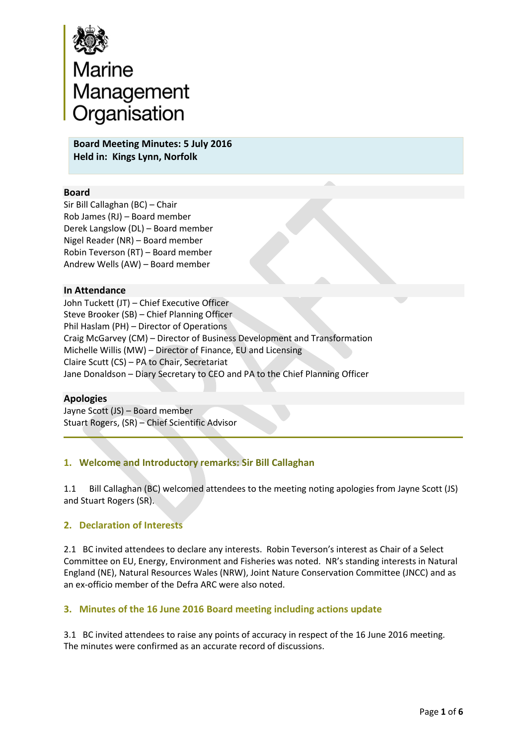

**Board Meeting Minutes: 5 July 2016 Held in: Kings Lynn, Norfolk** 

#### **Board**

Sir Bill Callaghan (BC) – Chair Rob James (RJ) – Board member Derek Langslow (DL) – Board member Nigel Reader (NR) – Board member Robin Teverson (RT) – Board member Andrew Wells (AW) – Board member

#### **In Attendance**

John Tuckett (JT) – Chief Executive Officer Steve Brooker (SB) – Chief Planning Officer Phil Haslam (PH) – Director of Operations Craig McGarvey (CM) – Director of Business Development and Transformation Michelle Willis (MW) – Director of Finance, EU and Licensing Claire Scutt (CS) – PA to Chair, Secretariat Jane Donaldson – Diary Secretary to CEO and PA to the Chief Planning Officer

#### **Apologies**

Jayne Scott (JS) – Board member Stuart Rogers, (SR) – Chief Scientific Advisor

## **1. Welcome and Introductory remarks: Sir Bill Callaghan**

1.1 Bill Callaghan (BC) welcomed attendees to the meeting noting apologies from Jayne Scott (JS) and Stuart Rogers (SR).

#### **2. Declaration of Interests**

2.1 BC invited attendees to declare any interests. Robin Teverson's interest as Chair of a Select Committee on EU, Energy, Environment and Fisheries was noted. NR's standing interests in Natural England (NE), Natural Resources Wales (NRW), Joint Nature Conservation Committee (JNCC) and as an ex-officio member of the Defra ARC were also noted.

#### **3. Minutes of the 16 June 2016 Board meeting including actions update**

3.1 BC invited attendees to raise any points of accuracy in respect of the 16 June 2016 meeting. The minutes were confirmed as an accurate record of discussions.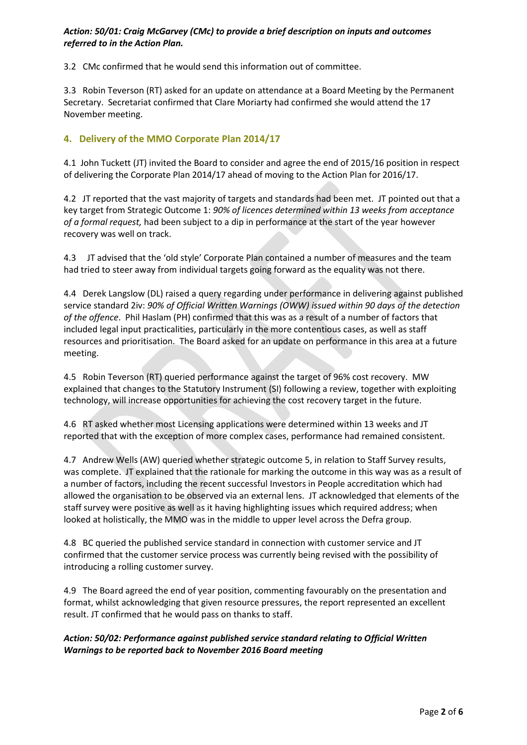#### *Action: 50/01: Craig McGarvey (CMc) to provide a brief description on inputs and outcomes referred to in the Action Plan.*

3.2 CMc confirmed that he would send this information out of committee.

3.3 Robin Teverson (RT) asked for an update on attendance at a Board Meeting by the Permanent Secretary. Secretariat confirmed that Clare Moriarty had confirmed she would attend the 17 November meeting.

## **4. Delivery of the MMO Corporate Plan 2014/17**

4.1 John Tuckett (JT) invited the Board to consider and agree the end of 2015/16 position in respect of delivering the Corporate Plan 2014/17 ahead of moving to the Action Plan for 2016/17.

4.2 JT reported that the vast majority of targets and standards had been met. JT pointed out that a key target from Strategic Outcome 1: *90% of licences determined within 13 weeks from acceptance of a formal request,* had been subject to a dip in performance at the start of the year however recovery was well on track.

4.3 JT advised that the 'old style' Corporate Plan contained a number of measures and the team had tried to steer away from individual targets going forward as the equality was not there.

4.4 Derek Langslow (DL) raised a query regarding under performance in delivering against published service standard 2iv: *90% of Official Written Warnings (OWW) issued within 90 days of the detection of the offence*. Phil Haslam (PH) confirmed that this was as a result of a number of factors that included legal input practicalities, particularly in the more contentious cases, as well as staff resources and prioritisation. The Board asked for an update on performance in this area at a future meeting.

4.5 Robin Teverson (RT) queried performance against the target of 96% cost recovery. MW explained that changes to the Statutory Instrument (SI) following a review, together with exploiting technology, will increase opportunities for achieving the cost recovery target in the future.

4.6 RT asked whether most Licensing applications were determined within 13 weeks and JT reported that with the exception of more complex cases, performance had remained consistent.

4.7 Andrew Wells (AW) queried whether strategic outcome 5, in relation to Staff Survey results, was complete. JT explained that the rationale for marking the outcome in this way was as a result of a number of factors, including the recent successful Investors in People accreditation which had allowed the organisation to be observed via an external lens. JT acknowledged that elements of the staff survey were positive as well as it having highlighting issues which required address; when looked at holistically, the MMO was in the middle to upper level across the Defra group.

4.8 BC queried the published service standard in connection with customer service and JT confirmed that the customer service process was currently being revised with the possibility of introducing a rolling customer survey.

4.9 The Board agreed the end of year position, commenting favourably on the presentation and format, whilst acknowledging that given resource pressures, the report represented an excellent result. JT confirmed that he would pass on thanks to staff.

## *Action: 50/02: Performance against published service standard relating to Official Written Warnings to be reported back to November 2016 Board meeting*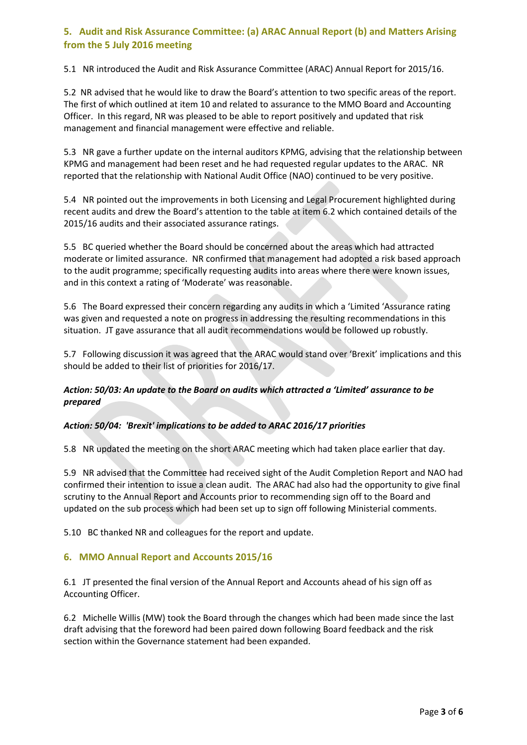# **5. Audit and Risk Assurance Committee: (a) ARAC Annual Report (b) and Matters Arising from the 5 July 2016 meeting**

5.1 NR introduced the Audit and Risk Assurance Committee (ARAC) Annual Report for 2015/16.

5.2 NR advised that he would like to draw the Board's attention to two specific areas of the report. The first of which outlined at item 10 and related to assurance to the MMO Board and Accounting Officer. In this regard, NR was pleased to be able to report positively and updated that risk management and financial management were effective and reliable.

5.3 NR gave a further update on the internal auditors KPMG, advising that the relationship between KPMG and management had been reset and he had requested regular updates to the ARAC. NR reported that the relationship with National Audit Office (NAO) continued to be very positive.

5.4 NR pointed out the improvements in both Licensing and Legal Procurement highlighted during recent audits and drew the Board's attention to the table at item 6.2 which contained details of the 2015/16 audits and their associated assurance ratings.

5.5 BC queried whether the Board should be concerned about the areas which had attracted moderate or limited assurance. NR confirmed that management had adopted a risk based approach to the audit programme; specifically requesting audits into areas where there were known issues, and in this context a rating of 'Moderate' was reasonable.

5.6 The Board expressed their concern regarding any audits in which a 'Limited 'Assurance rating was given and requested a note on progress in addressing the resulting recommendations in this situation. JT gave assurance that all audit recommendations would be followed up robustly.

5.7 Following discussion it was agreed that the ARAC would stand over 'Brexit' implications and this should be added to their list of priorities for 2016/17.

## *Action: 50/03: An update to the Board on audits which attracted a 'Limited' assurance to be prepared*

## *Action: 50/04: 'Brexit' implications to be added to ARAC 2016/17 priorities*

5.8 NR updated the meeting on the short ARAC meeting which had taken place earlier that day.

5.9 NR advised that the Committee had received sight of the Audit Completion Report and NAO had confirmed their intention to issue a clean audit. The ARAC had also had the opportunity to give final scrutiny to the Annual Report and Accounts prior to recommending sign off to the Board and updated on the sub process which had been set up to sign off following Ministerial comments.

5.10 BC thanked NR and colleagues for the report and update.

## **6. MMO Annual Report and Accounts 2015/16**

6.1 JT presented the final version of the Annual Report and Accounts ahead of his sign off as Accounting Officer.

6.2 Michelle Willis (MW) took the Board through the changes which had been made since the last draft advising that the foreword had been paired down following Board feedback and the risk section within the Governance statement had been expanded.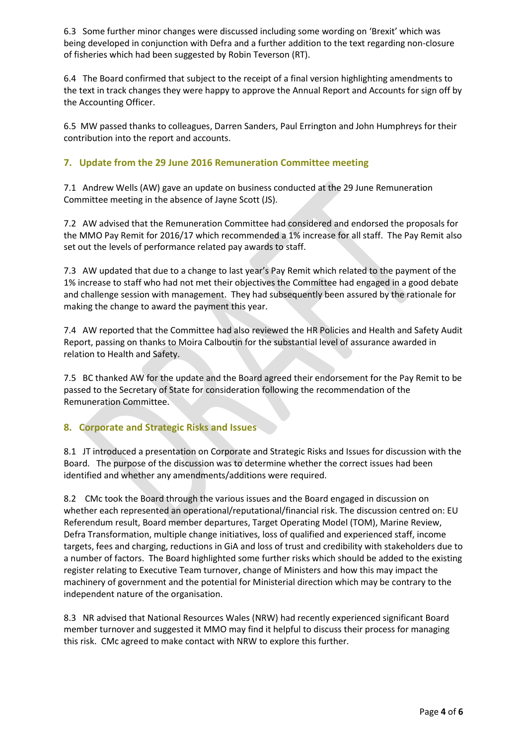6.3 Some further minor changes were discussed including some wording on 'Brexit' which was being developed in conjunction with Defra and a further addition to the text regarding non-closure of fisheries which had been suggested by Robin Teverson (RT).

6.4 The Board confirmed that subject to the receipt of a final version highlighting amendments to the text in track changes they were happy to approve the Annual Report and Accounts for sign off by the Accounting Officer.

6.5 MW passed thanks to colleagues, Darren Sanders, Paul Errington and John Humphreys for their contribution into the report and accounts.

## **7. Update from the 29 June 2016 Remuneration Committee meeting**

7.1 Andrew Wells (AW) gave an update on business conducted at the 29 June Remuneration Committee meeting in the absence of Jayne Scott (JS).

7.2 AW advised that the Remuneration Committee had considered and endorsed the proposals for the MMO Pay Remit for 2016/17 which recommended a 1% increase for all staff. The Pay Remit also set out the levels of performance related pay awards to staff.

7.3 AW updated that due to a change to last year's Pay Remit which related to the payment of the 1% increase to staff who had not met their objectives the Committee had engaged in a good debate and challenge session with management. They had subsequently been assured by the rationale for making the change to award the payment this year.

7.4 AW reported that the Committee had also reviewed the HR Policies and Health and Safety Audit Report, passing on thanks to Moira Calboutin for the substantial level of assurance awarded in relation to Health and Safety.

7.5 BC thanked AW for the update and the Board agreed their endorsement for the Pay Remit to be passed to the Secretary of State for consideration following the recommendation of the Remuneration Committee.

## **8. Corporate and Strategic Risks and Issues**

8.1 JT introduced a presentation on Corporate and Strategic Risks and Issues for discussion with the Board. The purpose of the discussion was to determine whether the correct issues had been identified and whether any amendments/additions were required.

8.2 CMc took the Board through the various issues and the Board engaged in discussion on whether each represented an operational/reputational/financial risk. The discussion centred on: EU Referendum result, Board member departures, Target Operating Model (TOM), Marine Review, Defra Transformation, multiple change initiatives, loss of qualified and experienced staff, income targets, fees and charging, reductions in GiA and loss of trust and credibility with stakeholders due to a number of factors. The Board highlighted some further risks which should be added to the existing register relating to Executive Team turnover, change of Ministers and how this may impact the machinery of government and the potential for Ministerial direction which may be contrary to the independent nature of the organisation.

8.3 NR advised that National Resources Wales (NRW) had recently experienced significant Board member turnover and suggested it MMO may find it helpful to discuss their process for managing this risk. CMc agreed to make contact with NRW to explore this further.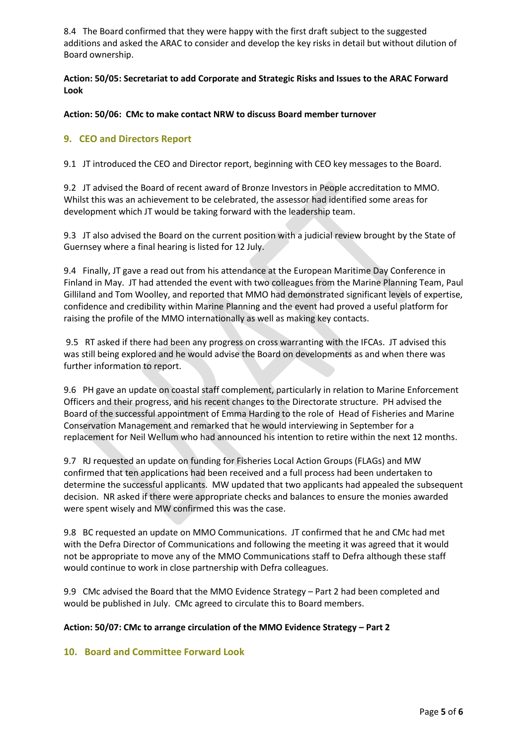8.4 The Board confirmed that they were happy with the first draft subject to the suggested additions and asked the ARAC to consider and develop the key risks in detail but without dilution of Board ownership.

**Action: 50/05: Secretariat to add Corporate and Strategic Risks and Issues to the ARAC Forward Look** 

**Action: 50/06: CMc to make contact NRW to discuss Board member turnover** 

## **9. CEO and Directors Report**

9.1 JT introduced the CEO and Director report, beginning with CEO key messages to the Board.

9.2 JT advised the Board of recent award of Bronze Investors in People accreditation to MMO. Whilst this was an achievement to be celebrated, the assessor had identified some areas for development which JT would be taking forward with the leadership team.

9.3 JT also advised the Board on the current position with a judicial review brought by the State of Guernsey where a final hearing is listed for 12 July.

9.4 Finally, JT gave a read out from his attendance at the European Maritime Day Conference in Finland in May. JT had attended the event with two colleagues from the Marine Planning Team, Paul Gilliland and Tom Woolley, and reported that MMO had demonstrated significant levels of expertise, confidence and credibility within Marine Planning and the event had proved a useful platform for raising the profile of the MMO internationally as well as making key contacts.

9.5 RT asked if there had been any progress on cross warranting with the IFCAs. JT advised this was still being explored and he would advise the Board on developments as and when there was further information to report.

9.6 PH gave an update on coastal staff complement, particularly in relation to Marine Enforcement Officers and their progress, and his recent changes to the Directorate structure. PH advised the Board of the successful appointment of Emma Harding to the role of Head of Fisheries and Marine Conservation Management and remarked that he would interviewing in September for a replacement for Neil Wellum who had announced his intention to retire within the next 12 months.

9.7 RJ requested an update on funding for Fisheries Local Action Groups (FLAGs) and MW confirmed that ten applications had been received and a full process had been undertaken to determine the successful applicants. MW updated that two applicants had appealed the subsequent decision. NR asked if there were appropriate checks and balances to ensure the monies awarded were spent wisely and MW confirmed this was the case.

9.8 BC requested an update on MMO Communications. JT confirmed that he and CMc had met with the Defra Director of Communications and following the meeting it was agreed that it would not be appropriate to move any of the MMO Communications staff to Defra although these staff would continue to work in close partnership with Defra colleagues.

9.9 CMc advised the Board that the MMO Evidence Strategy – Part 2 had been completed and would be published in July. CMc agreed to circulate this to Board members.

#### **Action: 50/07: CMc to arrange circulation of the MMO Evidence Strategy – Part 2**

#### **10. Board and Committee Forward Look**